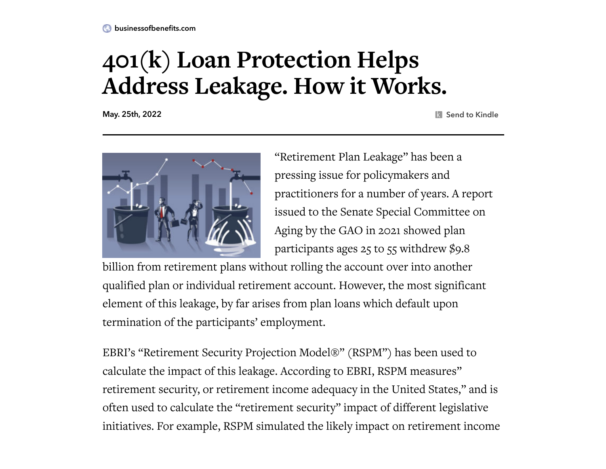## **401(k) Loan Protection Helps Address Leakage. How it Works.**

May. 25th, 2022 Send to Kindle



"Retirement Plan Leakage" has been a pressing issue for policymakers and practitioners for a number of years. A report issued to [the Senate Special](https://www.gao.gov/assets/gao-19-179.pdf) Committee on Aging by the GAO in 2021 showed plan participants ages 25 to 55 withdrew \$9.8

billion from retirement plans without rolling the account over into another qualified plan or individual retirement account. However, the most significant element of this leakage, by far arises from plan loans which default upon termination of the participants' employment.

EBRI's "Retirement Security Projection Model®" (RSPM") has been used to calculate the impact of this leakage. According to EBRI, RSPM measures" retirement security, or retirement income adequacy in the United States," and is often used to calculate the "retirement security" impact of different legislative initiatives. For example, RSPM simulated the likely impact on retirement income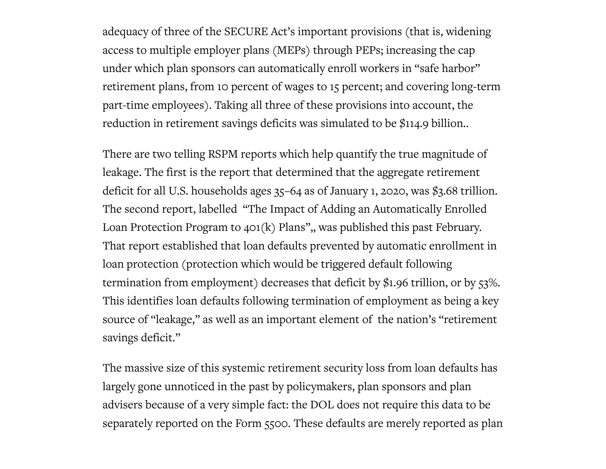adequacy of three of the SECURE Act's important provisions (that is, widening access to multiple employer plans (MEPs) through PEPs; increasing the cap under which plan sponsors can automatically enroll workers in "safe harbor" retirement plans, from 10 percent of wages to 15 percent; and covering long-term part-time employees). Taking all three of these provisions into account, the reduction in retirement savings deficits was simulated to be [\\$114.9 billion..](https://www.ebri.org/publications/research-publications/issue-briefs/content/how-much-more-secure-does-the-secure-act-make-american-workers-evidence-from-ebri-s-retirement-security-projection-model)

There are two telling RSPM reports which help quantify the true magnitude of leakage. The first is the report that determined that the aggregate retirement deficit for all U.S. households ages 35–64 as of [January](https://www.ebri.org/publications/research-publications/issue-briefs/content/impact-of-the-covid-19-pandemic-on-retirement-income-adequacy-evidence-from-ebri-s-retirement-security-projection-model) 1, 2020, was \$3.68 trillion. The second report, labelled "The Impact of Adding an [Automatically](https://www.businessofbenefits.com/2022/05/articles/loan-protection/401k-loan-protection-helps-address-leakage-how-it-works/attachment/ebri-loan-protection/) Enrolled Loan Protection Program to 401(k) Plans",, was published this past February. That report established that loan defaults prevented by automatic enrollment in loan protection (protection which would be triggered default following termination from employment) decreases that deficit by \$1.96 trillion, or by 53%. This identifies loan defaults following termination of employment as being a key source of "leakage," as well as an important element of the nation's "retirement savings deficit."

The massive size of this systemic retirement security loss from loan defaults has largely gone unnoticed in the past by policymakers, plan sponsors and plan advisers because of a very simple fact: the DOL does not require this data to be separately reported on the Form 5500. These defaults are merely reported as plan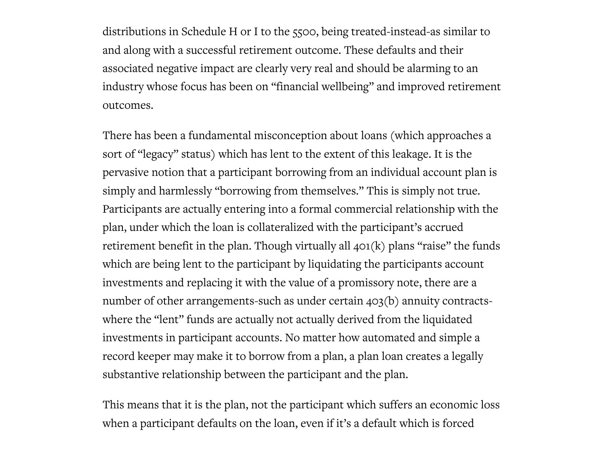distributions in Schedule H or I to the 5500, being treated-instead-as similar to and along with a successful retirement outcome. These defaults and their associated negative impact are clearly very real and should be alarming to an industry whose focus has been on "financial wellbeing" and improved retirement outcomes.

There has been a fundamental misconception about loans (which approaches a sort of "legacy" status) which has lent to the extent of this leakage. It is the pervasive notion that a participant borrowing from an individual account plan is simply and harmlessly "borrowing from themselves." This is simply not true. Participants are actually entering into a formal commercial relationship with the plan, under which the loan is collateralized with the participant's accrued retirement benefit in the plan. Though virtually all  $401(k)$  plans "raise" the funds which are being lent to the participant by liquidating the participants account investments and replacing it with the value of a promissory note, there are a number of other arrangements-such as under certain 403(b) annuity contractswhere the "lent" funds are actually not actually derived from the liquidated investments in participant accounts. No matter how automated and simple a record keeper may make it to borrow from a plan, a plan loan creates a legally substantive relationship between the participant and the plan.

This means that it is the plan, not the participant which suffers an economic loss when a participant defaults on the loan, even if it's a default which is forced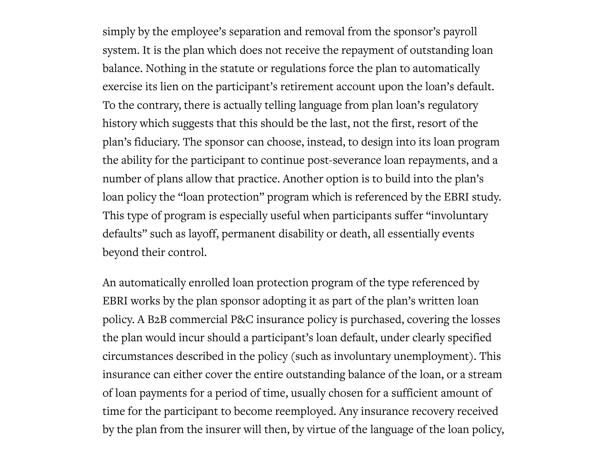simply by the employee's separation and removal from the sponsor's payroll system. It is the plan which does not receive the repayment of outstanding loan balance. Nothing in the statute or regulations force the plan to automatically exercise its lien on the participant's retirement account upon the loan's default. To the contrary, there is actually telling language from plan loan's regulatory history which suggests that this should be the last, not the first, resort of the plan's fiduciary. The sponsor can choose, instead, to design into its loan program the ability for the participant to continue post-severance loan repayments, and a number of plans allow that practice. Another option is to build into the plan's loan policy the "loan protection" program which is referenced by the EBRI study. This type of program is especially useful when participants suffer "involuntary defaults" such as layoff, permanent disability or death, all essentially events beyond their control.

An automatically enrolled loan protection program of the type referenced by EBRI works by the plan sponsor adopting it as part of the plan's written loan policy. A B2B commercial P&C insurance policy is purchased, covering the losses the plan would incur should a participant's loan default, under clearly specified circumstances described in the policy (such as involuntary unemployment). This insurance can either cover the entire outstanding balance of the loan, or a stream of loan payments for a period of time, usually chosen for a sufficient amount of time for the participant to become reemployed. Any insurance recovery received by the plan from the insurer will then, by virtue of the language of the loan policy,